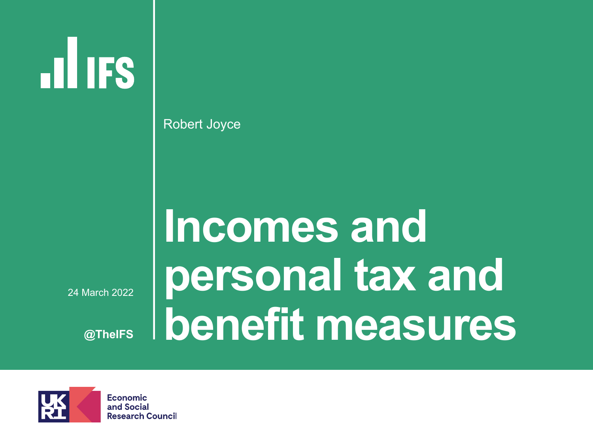**HIIFS** 

Robert Joyce

#### § 24 March 2022

**@TheIFS**

# **Incomes and personal tax and benefit measures**

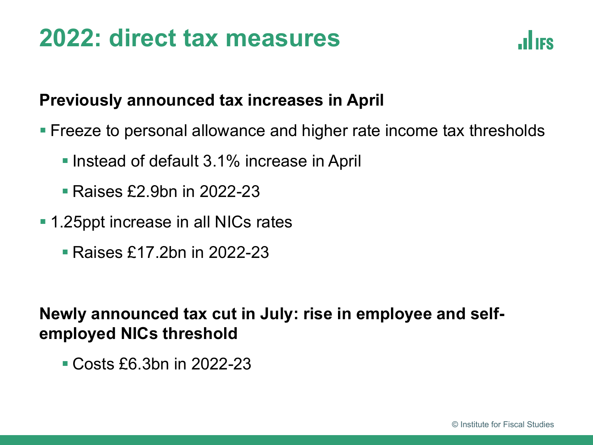## **2022: direct tax measures**



#### **Previously announced tax increases in April**

- Freeze to personal allowance and higher rate income tax thresholds
	- Instead of default 3.1% increase in April
	- § Raises £2.9bn in 2022-23
- 1.25ppt increase in all NICs rates
	- § Raises £17.2bn in 2022-23

### **Newly announced tax cut in July: rise in employee and selfemployed NICs threshold**

■ Costs £6.3bn in 2022-23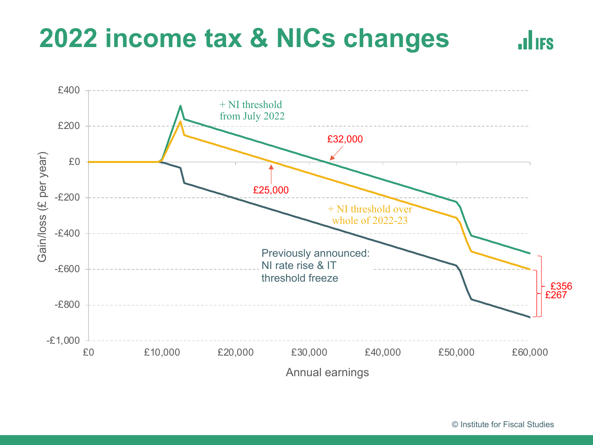# **2022 income tax & NICs changes**



 $\mathbf{d}$  ifs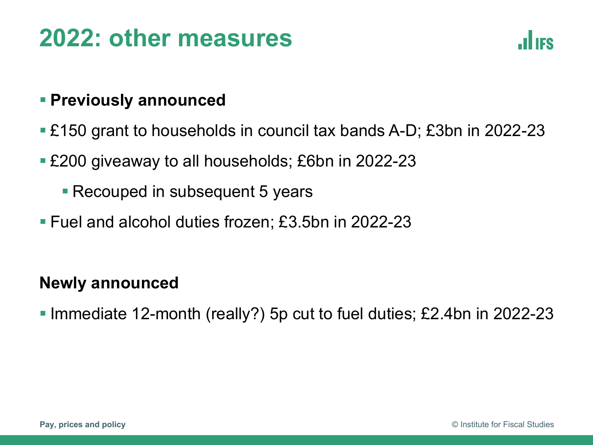## **2022: other measures**



#### § **Previously announced**

- £150 grant to households in council tax bands A-D; £3bn in 2022-23
- £200 giveaway to all households; £6bn in 2022-23
	- Recouped in subsequent 5 years
- Fuel and alcohol duties frozen; £3.5bn in 2022-23

#### **Newly announced**

§ Immediate 12-month (really?) 5p cut to fuel duties; £2.4bn in 2022-23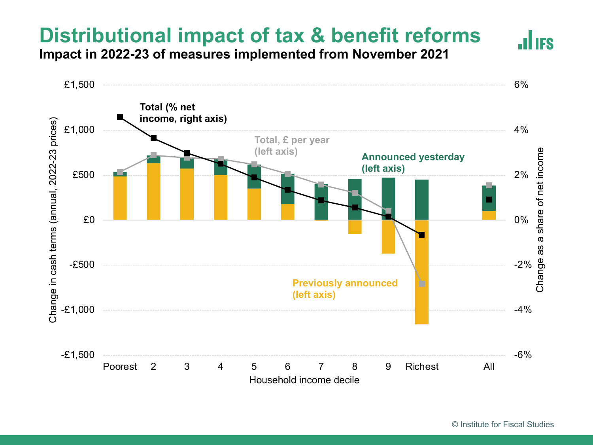### **Distributional impact of tax & benefit reforms**

**Impact in 2022-23 of measures implemented from November 2021**

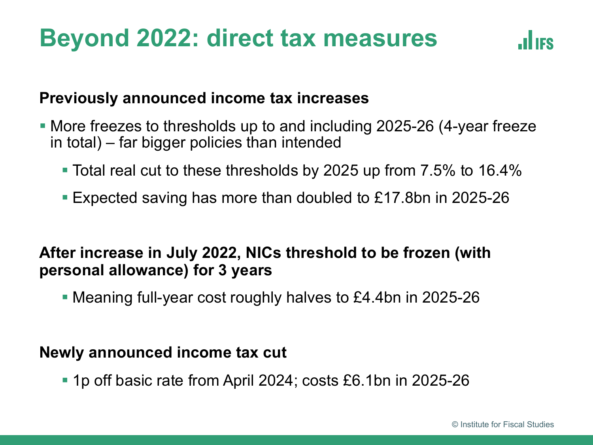### **Beyond 2022: direct tax measures**



#### **Previously announced income tax increases**

- § More freezes to thresholds up to and including 2025-26 (4-year freeze in total) – far bigger policies than intended
	- Total real cut to these thresholds by 2025 up from 7.5% to 16.4%
	- § Expected saving has more than doubled to £17.8bn in 2025-26

#### **After increase in July 2022, NICs threshold to be frozen (with personal allowance) for 3 years**

§ Meaning full-year cost roughly halves to £4.4bn in 2025-26

#### **Newly announced income tax cut**

■ 1p off basic rate from April 2024; costs £6.1bn in 2025-26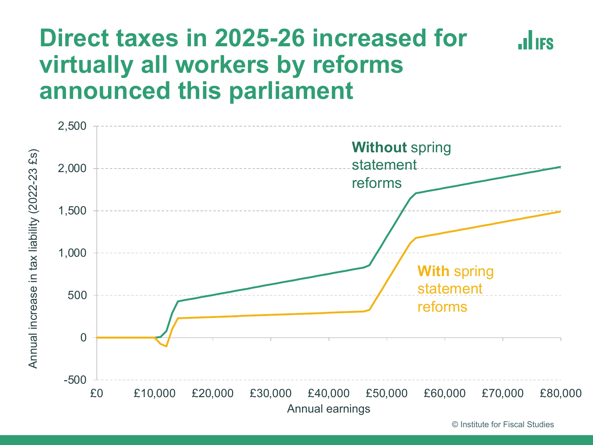### **Direct taxes in 2025-26 increased for JULIES virtually all workers by reforms announced this parliament**



© Institute for Fiscal Studies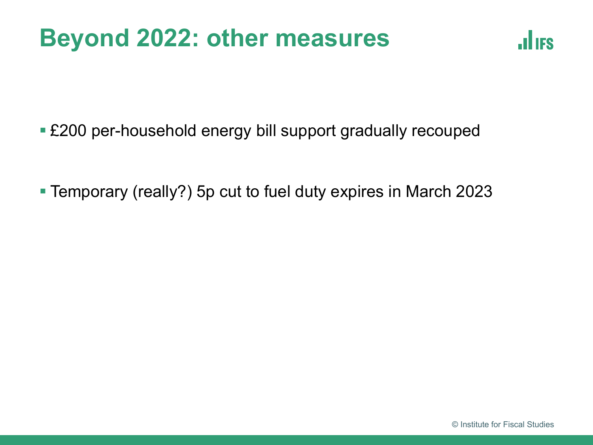## **Beyond 2022: other measures**



■ £200 per-household energy bill support gradually recouped

§ Temporary (really?) 5p cut to fuel duty expires in March 2023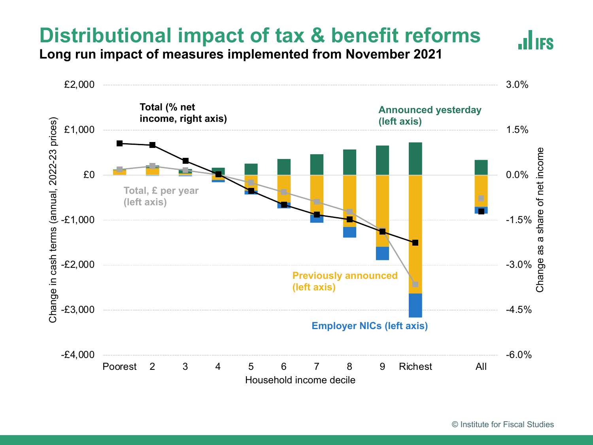### **Distributional impact of tax & benefit reforms**

**Long run impact of measures implemented from November 2021**

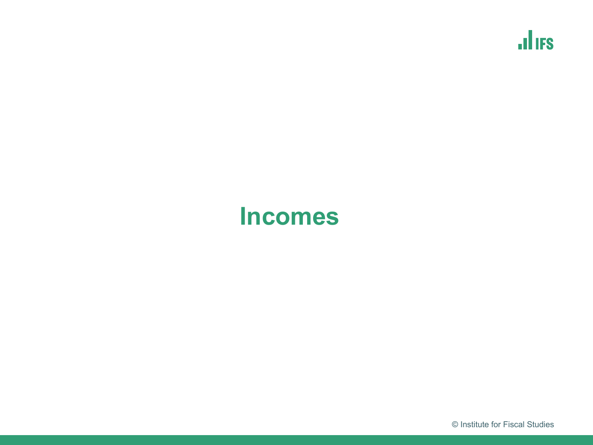$\mathbf{d}$  if  $\mathbf{s}$ 

### **Incomes**

© Institute for Fiscal Studies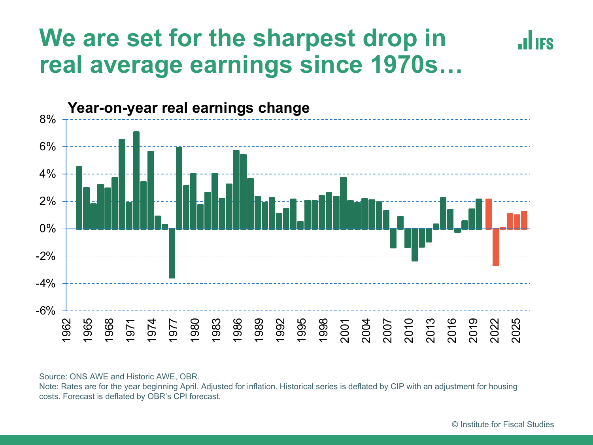### **We are set for the sharpest drop in real average earnings since 1970s…**



Source: ONS AWE and Historic AWE, OBR.

Note: Rates are for the year beginning April. Adjusted for inflation. Historical series is deflated by CIP with an adjustment for housing costs. Forecast is deflated by OBR's CPI forecast.

IES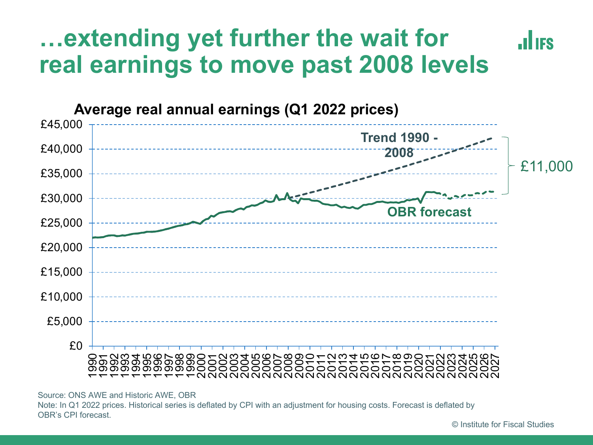#### **…extending yet further the wait for JULIES real earnings to move past 2008 levels**



Source: ONS AWE and Historic AWE, OBR Note: In Q1 2022 prices. Historical series is deflated by CPI with an adjustment for housing costs. Forecast is deflated by OBR's CPI forecast.

© Institute for Fiscal Studies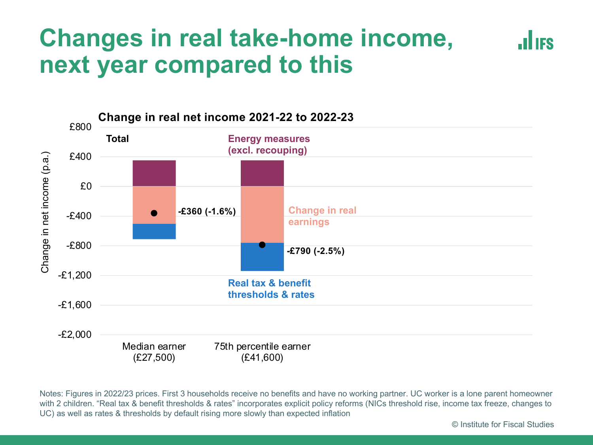### **Changes in real take-home income, next year compared to this**



Notes: Figures in 2022/23 prices. First 3 households receive no benefits and have no working partner. UC worker is a lone parent homeowner with 2 children. "Real tax & benefit thresholds & rates" incorporates explicit policy reforms (NICs threshold rise, income tax freeze, changes to UC) as well as rates & thresholds by default rising more slowly than expected inflation

© Institute for Fiscal Studies

**.ILIES**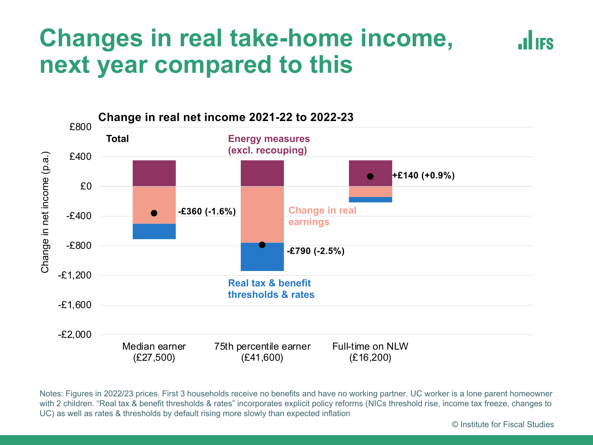### **Changes in real take-home income, next year compared to this**



Notes: Figures in 2022/23 prices. First 3 households receive no benefits and have no working partner. UC worker is a lone parent homeowner with 2 children. "Real tax & benefit thresholds & rates" incorporates explicit policy reforms (NICs threshold rise, income tax freeze, changes to UC) as well as rates & thresholds by default rising more slowly than expected inflation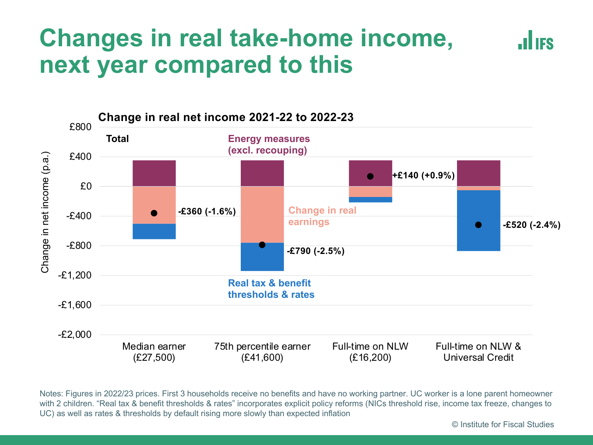### **Changes in real take-home income, next year compared to this**



Notes: Figures in 2022/23 prices. First 3 households receive no benefits and have no working partner. UC worker is a lone parent homeowner with 2 children. "Real tax & benefit thresholds & rates" incorporates explicit policy reforms (NICs threshold rise, income tax freeze, changes to UC) as well as rates & thresholds by default rising more slowly than expected inflation

**.ILIES**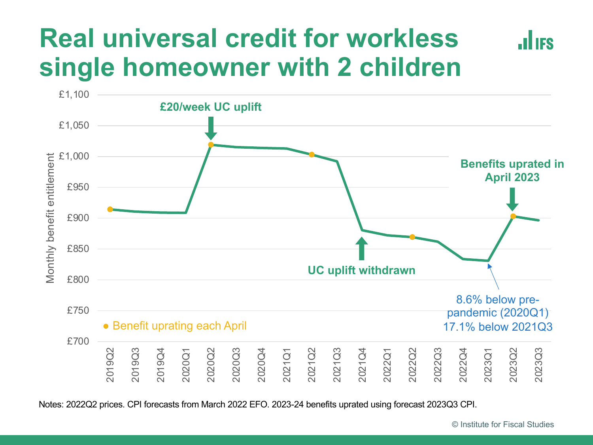# **Real universal credit for workless single homeowner with 2 children**



Notes: 2022Q2 prices. CPI forecasts from March 2022 EFO. 2023-24 benefits uprated using forecast 2023Q3 CPI.